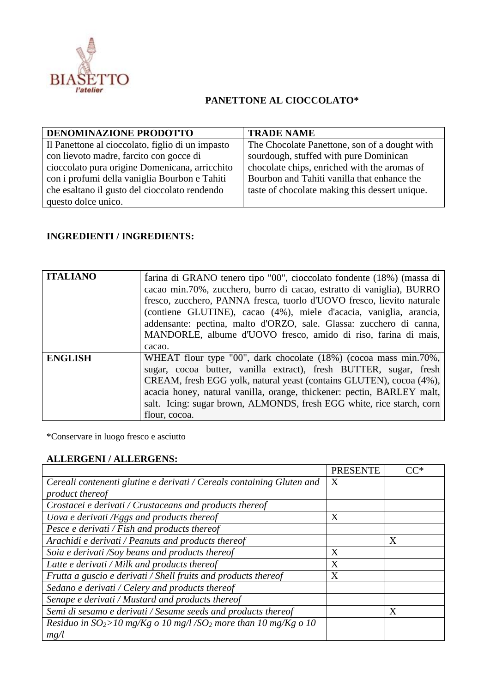

## **PANETTONE AL CIOCCOLATO\***

| DENOMINAZIONE PRODOTTO                           | <b>TRADE NAME</b>                              |
|--------------------------------------------------|------------------------------------------------|
| Il Panettone al cioccolato, figlio di un impasto | The Chocolate Panettone, son of a dought with  |
| con lievoto madre, farcito con gocce di          | sourdough, stuffed with pure Dominican         |
| cioccolato pura origine Domenicana, arricchito   | chocolate chips, enriched with the aromas of   |
| con i profumi della vaniglia Bourbon e Tahiti    | Bourbon and Tahiti vanilla that enhance the    |
| che esaltano il gusto del cioccolato rendendo    | taste of chocolate making this dessert unique. |
| questo dolce unico.                              |                                                |

## **INGREDIENTI / INGREDIENTS:**

| <b>ITALIANO</b> | farina di GRANO tenero tipo "00", cioccolato fondente (18%) (massa di<br>cacao min.70%, zucchero, burro di cacao, estratto di vaniglia), BURRO<br>fresco, zucchero, PANNA fresca, tuorlo d'UOVO fresco, lievito naturale<br>(contiene GLUTINE), cacao (4%), miele d'acacia, vaniglia, arancia,<br>addensante: pectina, malto d'ORZO, sale. Glassa: zucchero di canna,<br>MANDORLE, albume d'UOVO fresco, amido di riso, farina di mais,<br>cacao. |
|-----------------|---------------------------------------------------------------------------------------------------------------------------------------------------------------------------------------------------------------------------------------------------------------------------------------------------------------------------------------------------------------------------------------------------------------------------------------------------|
| <b>ENGLISH</b>  | WHEAT flour type "00", dark chocolate (18%) (cocoa mass min.70%,<br>sugar, cocoa butter, vanilla extract), fresh BUTTER, sugar, fresh<br>CREAM, fresh EGG yolk, natural yeast (contains GLUTEN), cocoa (4%),<br>acacia honey, natural vanilla, orange, thickener: pectin, BARLEY malt,<br>salt. Icing: sugar brown, ALMONDS, fresh EGG white, rice starch, corn<br>flour, cocoa.                                                                  |

\*Conservare in luogo fresco e asciutto

## **ALLERGENI / ALLERGENS:**

|                                                                                | <b>PRESENTE</b> | $CC^*$ |
|--------------------------------------------------------------------------------|-----------------|--------|
| Cereali contenenti glutine e derivati / Cereals containing Gluten and          | X               |        |
| product thereof                                                                |                 |        |
| Crostacei e derivati / Crustaceans and products thereof                        |                 |        |
| Uova e derivati /Eggs and products thereof                                     | X               |        |
| Pesce e derivati / Fish and products thereof                                   |                 |        |
| Arachidi e derivati / Peanuts and products thereof                             |                 | X      |
| Soia e derivati /Soy beans and products thereof                                | X               |        |
| Latte e derivati / Milk and products thereof                                   | X               |        |
| Frutta a guscio e derivati / Shell fruits and products thereof                 | X               |        |
| Sedano e derivati / Celery and products thereof                                |                 |        |
| Senape e derivati / Mustard and products thereof                               |                 |        |
| Semi di sesamo e derivati / Sesame seeds and products thereof                  |                 | X      |
| Residuo in $SO_2 > 10$ mg/Kg o 10 mg/l/SO <sub>2</sub> more than 10 mg/Kg o 10 |                 |        |
| mg/l                                                                           |                 |        |